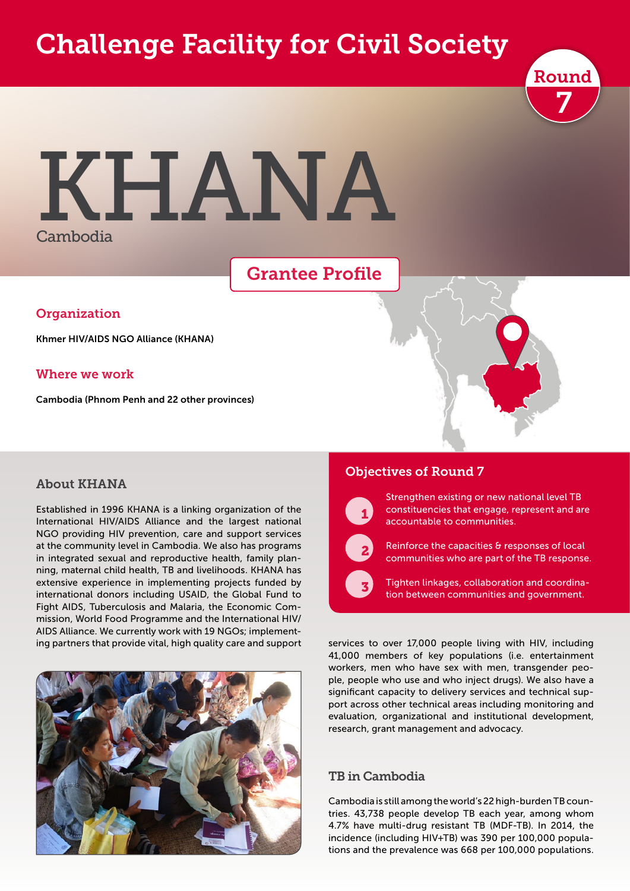# Challenge Facility for Civil Society



# KHANA Cambodia

## Grantee Profile

#### **Organization**

Khmer HIV/AIDS NGO Alliance (KHANA)

#### Where we work

Cambodia (Phnom Penh and 22 other provinces)

#### About KHANA

Established in 1996 KHANA is a linking organization of the International HIV/AIDS Alliance and the largest national NGO providing HIV prevention, care and support services at the community level in Cambodia. We also has programs in integrated sexual and reproductive health, family planning, maternal child health, TB and livelihoods. KHANA has extensive experience in implementing projects funded by international donors including USAID, the Global Fund to Fight AIDS, Tuberculosis and Malaria, the Economic Commission, World Food Programme and the International HIV/ AIDS Alliance. We currently work with 19 NGOs; implementing partners that provide vital, high quality care and support



#### Objectives of Round 7



 $\sqrt{3}$ 

Strengthen existing or new national level TB constituencies that engage, represent and are accountable to communities.

Reinforce the capacities & responses of local communities who are part of the TB response.

Tighten linkages, collaboration and coordination between communities and government.

services to over 17,000 people living with HIV, including 41,000 members of key populations (i.e. entertainment workers, men who have sex with men, transgender people, people who use and who inject drugs). We also have a significant capacity to delivery services and technical support across other technical areas including monitoring and evaluation, organizational and institutional development, research, grant management and advocacy.

#### TB in Cambodia

Cambodia is still among the world's 22 high-burden TB countries. 43,738 people develop TB each year, among whom 4.7% have multi-drug resistant TB (MDF-TB). In 2014, the incidence (including HIV+TB) was 390 per 100,000 populations and the prevalence was 668 per 100,000 populations.